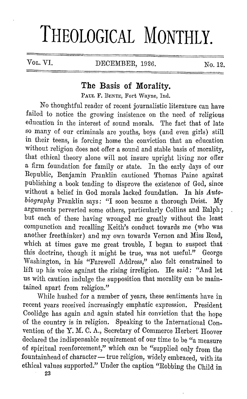## **THEOLOGICAL MONTHLY.**

VOL. VI. DECEMBER, 1926. No. 12.

## **The Basis of Morality.**

PAUL F. DENTE, Fort Wayne, Ind.

*No* thoughtful reader of recent journalistic literature can have failed to notice the growing insistence on the need of religious education in the interest of sound morals. The fact that of late so many of our criminals are youths, boys ( and even girls) still in their teens, is forcing home the conviction that an education without religion does not offer a sound and stable basis of morality, that ethical theory alone will not insure upright living nor offer a firm foundation for family or state. In the early days of our Republic, Benjamin Franklin cautioned Thomas Paine against publishing a book tending to disprove the existence of God, since without a belief in God morals lacked foundation. In his Auto*biography* Franklin says: "I soon became a thorough Deist. My arguments perverted some others, particularly Collins and Ralph; but each of these having wronged me greatly without the least compunction and recalling Keith's conduct towards me (who was another freethinker) and my own towards Vernon and Miss Read, which at times gave me great trouble, I began to suspect that this doctrine, though it might be true, was not useful." George Washington, in his "Farewell Address," also felt constrained to lift up his voice against the rising irreligion. He said: "And let us with caution indulge the supposition that morality can be maintained apart from religion."

While hushed for a number of years, these sentiments have in recent years received increasingly emphatic expression. President Coolidge has again and again stated his conviction that the hope of the country is in religion. Speaking to the International Convention of the Y. M. C. A., Secretary of Commerce Herbert Hoover declared the indispensable requirement of our time to be "a measure of spiritual reenforcement," which can be "supplied only from the fountainhead of character - true religion, widely embraced, with its ethical values supported." Under the caption "Robbing the Child in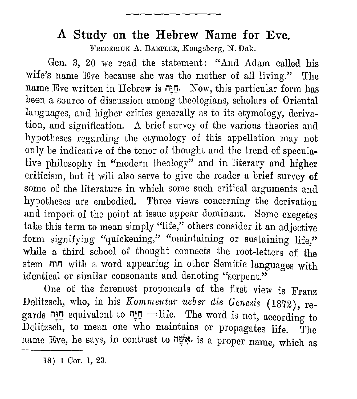## **A Study on the Hebrew Name for Eve.**

FREDERICK A. BAEPLER, Kongsberg, N. Dak.

Gen. 3, 20 we read the statement: "And Adam called his wife's name Eve because she was the mother of all living." The name Eve written in Hebrew is יחודה. Now, this particular form has been a source of discussion among theologians, scholars of Oriental languages, and higher critics generally as to its etymology, derivation, and signification. A brief survey of the various theories and hypotheses regarding the etymology of this appellation may not only be indicative of the tenor of thought and the trend of speculative philosophy in "modern theology" and in literary and higher criticism, but it will also serve to give the reader a brief survey of some of the literature in which some such critical arguments and hypotheses are embodied. Three views concerning the derivation and import of the point at issue appear dominant. Some exegetes take this term to mean simply "life," others consider it an adjective form signifying "quickening," "maintaining or sustaining life." while a third school of thought connects the root-letters of the stem חוה with a word appearing in other Semitic languages with identical or similar consonants and denoting "serpent."

One of the foremost proponents of the first view is Franz Delitzsch, who, in his *Kornrnentar ueber die Genesis* ( 1872), regards יַוַּנָּה equivalent to יְחֵיָה = life. The word is not, according to Delitzsch, to mean one who maintains or propagates life. The name Eve, he says, in contrast to יָאָשָׁה is a proper name, which as

<sup>18) 1</sup> Cor. 1, 23.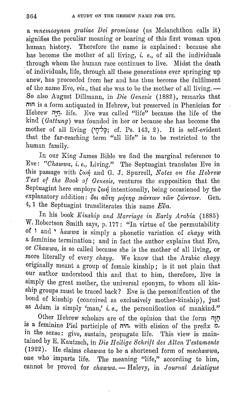a *mnemosynon gratiae Dei promissae* (as Melanchthon calls it) signifies the peculiar meaning or bearing of this first woman upon human history. Therefore the name is explained: because she has become the mother of all living, i. *e.,* of all the individuals through whom the human race continues to live. Midst the death of individuals, life, through all these generations ever springing up anew, has proceeded from her and has thus become the fulfilment of the name Eve, *viz.*, that she was to be the mother of all living. -So also August Dillmann, in *Die Genesis* (1882), remarks that nm is a form antiquated in Hebrew, but preserved in Phenician for Hebrew nin, life. Eve was called "life" because the life of the kind (Gattung) was founded in her or because she has become the mother of all living ('Q"'fi cf. Ps. 143, 2). It is self-evident that the far-reaching term "all life" is to be restricted to the human family.

In our King James Bible we find the marginal reference to Eve: *"Chawwa, i.e.,* Living." The Septuagint translates Eve in this passage with  $\zeta \omega \eta$  and G. J. Spurrell, *Notes on the Hebrew Text of the Boole of Genesis,* ventures the supposition that the Septuagint here employs  $\zeta \omega \eta$  intentionally, being occasioned by the explanatory addition: δτι αύτη μήτηρ πάντων των ζώντων. Gen. 4, 1 the Septuagint transliterates this name *E*va.

In his book *Kinship and Marriage in Early Arabia* (1885) W. Robertson Smith says, p. 177: "In virtue of the permutability of ' and , *hawwa* is simply a phonetic variation of *chayy* with a feminine termination; and in fact the author explains that Eve, or *Chawwa*, is so called because she is the mother of all living, or more literally of every *chayy.* We know that the Arabic *chayy*  originally meant a group of female kinship; is it not plain that our author understood this and that to him, therefore, Eve is simply the great mother, the universal eponym, to whom all kinship groups must be traced back? Eve is the personification of the bond of kinship ( conceived as exclusively mother-kinship), just as Adam is simply 'man,' i. *e.,* the personification of mankind."

Other Hebrew scholars are of the opinion that the form חַוָּה is a feminine Piel participle of  $\pi$ , with elision of the prefix  $\alpha$ , in the sense: give, sustain, propagate life. This view is maintained by E. Kautzsch, in *Die Heilige Schrift des Alten Testaments* (1922). He claims *chawwa* to be a shortened form of *mechawwa,*  one who imparts life. The meaning "life," according to him, cannot be proved for *chawwa.* - Halevy, in *Journal Asiatique*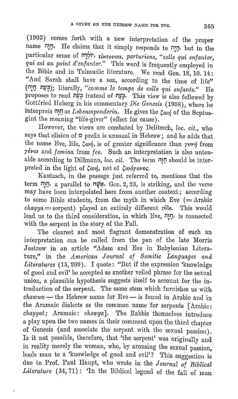(1903) comes forth with a new interpretation of the proper name nume in the claims that it simply responds to יחַיַּה, but in the particular sense of *יוֹלֵבָה, <i>i*krovoa, parturiens, "celle qui enfanter, *qui est au point d'enfanter.*" This word is frequently employed in the Bible and in Talmudic literature. We read Gen. 18, 10. 14: "And Sarah shall have a son, according to the time of life" **(n;IJ** *n¥.~);* literally, *"comme le temps de celle qui enfante."* He proposes to read *n¥.:p* instead of *nP,~.* 'rhis view is also followed by Gottfried Hoberg in his commentary *Die Genesis* (1908), where he interprets  $\overline{u}$ <sup>I</sup>n as *Lebensspenderin*. He gives the  $\zeta \omega \eta$  of the Septuagint the meaning "life-giver" ( effect for cause).

However, the views are combated by Delitzsch, *loc. cit.,* who says that elision of  $p$  prefix is unusual in Hebrew; and he adds that the name Eve, life,  $\zeta \omega \eta$ , is of greater significance than *yvvn* from  $\gamma \acute{\epsilon} \nu \omega$  and *femina* from *feo.* Such an interpretation is also untenable according to Dillmann, *loc. cit.* 'rhe term i1~0 should be interpreted in the light of ζωή, not of ζωόγονος.

Kautzsch, in the passage just referred to, mentions that the term i1~1J, a parallel to my~, Gen. 2, 23, is striking, and the verse may have been interpolated here from another context; according to some Bible students, from the myth in which Eve  $(=\text{Arabic})$ *chayya* = serpent) played an entirely different rôle. This would lead us to the third consideration, in which Eve, יְחַוּה, is connected with the serpent in the story of the Fall.

The clearest and most flagrant demonstration of such an interpretation can be culled from the pen of the late Morris Jastrow in an article "Adam and Eve in Babylonian Literature," in the *American Journal of Semitic Languages and* Literatures (15, 209). I quote: "But if the expression 'knowledge of good and evil' be accepted as another veiled phrase for the sexual union, a plausible hypothesis suggests itself to account for the introduction of the serpent. The same stem which furnishes us with *chawwa* - the Hebrew name for Eve - is found in Arabic and in the Aramaic dialects as the common name for serpents [Arabic: *chayyat;* Aramaic: *chewya].* The Rabbis themselves introduce a play upon the two names in their comment upon the third chapter of Genesis ( and associate the serpent with the sexual passion). Is it not possible, therefore, that 'the serpent' was originally and in reality merely the woman, who, by arousing the sexual passion, leads man to a 'knowledge of good and evil'? This suggestion is due to Prof. Paul Haupt, who wrote in the *Journal of Biblical*  Literature (34, 71): 'In the Biblical legend of the fall of man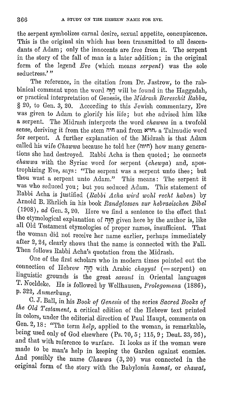the serpent symbolizes carnal desire, sexual appetite, concupiscence. This is the original sin which has been transmitted to all descendants of Adam; only the innocents are free from it. The serpent in the story of the fall of man is a later addition; in the original form of the legend *Eve* (which means *serpent)* was the sole seductress."

The reference, in the citation from Dr. Jastrow, to the rabbinical comment upon the word חֲנָה will be found in the Haggadah, or practical interpretation of Genesis, the *11fidrash Bereschit Rabba,*  § 20, to Gen. 3, 20. According to this Jewish commentary, Eve was given to Adam to glorify his life; but she advised him like a serpent. The Midrash interprets the word *chawwa* in a twofold sense, deriving it from the stem n'n and from ~'1n, a Talmudic word for serpent. A further explanation of the Midrash is that Adam called his wife *Ohawwa* because he told her (m'n) how many generations she had destroyed. Rabbi Acha is then quoted; he connects *chawwa* with the Syriac word for serpent *(chewya)* and, apostrophizing Eve, says: "The serpent was a serpent unto thee; but thou wast a serpent unto Adam." This means: The serpent it was who seduced you; but you seduced Adam. This statement of Rabbi Acha is justified *(Rabbi Acha wird wohl recht haben)* by Arnold Il. Ehrlich in his book *Randglossen zur hebraeischen Bibel*  ( 1908), *ad* Gen. 3, 20. Here we find a sentence to the effect that the etymological explanation 0£ n~IJ given here by the author is, like all Old Testament etymologies of proper names, insufficient. That the woman did not receive her name earlier, perhaps immediately after 2, 24, clearly shows that the name is connected with the Fall. Then follows Rabbi Acha's quotation from the Midrash.

One of the first scholars who in modern times pointed out the connection of Hebrew **n~IJ** with Arabic *chayyat* (=serpent) on linguistic grounds is the great *savant* in Oriental languages T. Noeldeke. He is followed by Wellhausen, *Prolegomena* (1886), **p.** 322, *Anmerlcung.* 

C. J. Ball, in his *Book of Genesis* of the series *Sacred Boolcs of the Old Testament,* a critical edition of the Hebrew text printed in colors, under the editorial direction of Paul Haupt, comments on Gen. 2, 18: "The term *help,* applied to the woman, is remarkable, being used only of God elsewhere (Ps. 70, 5; 115, 9; Deut. 33, 26), and that with reference to warfare. It looks as if the woman were made to be man's help in keeping the Garden against enemies. And possibly the name *Chawwa* (3, 20) was connected in the original form of the story with the Babylonia *hamat,* or *chawat,*